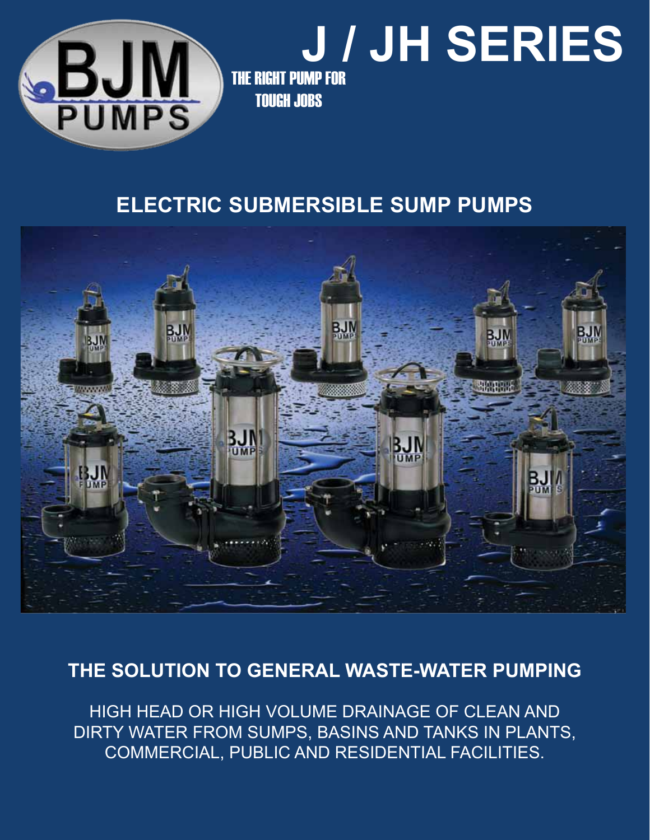

# **J / JH SERIES**

THE RIGHT PUMP FOR TOUGH JOBS

## **electric submersible sump pumps**



## **THE SOLUTION TO GENERAL WASTE-WATER PUMPING**

HIGH HEAD OR HIGH VOLUME DRAINAGE OF CLEAN AND DIRTY WATER FROM SUMPS, BASINS AND TANKS IN PLANTS, COMMERCIAL, PUBLIC AND RESIDENTIAL FACILITIES.